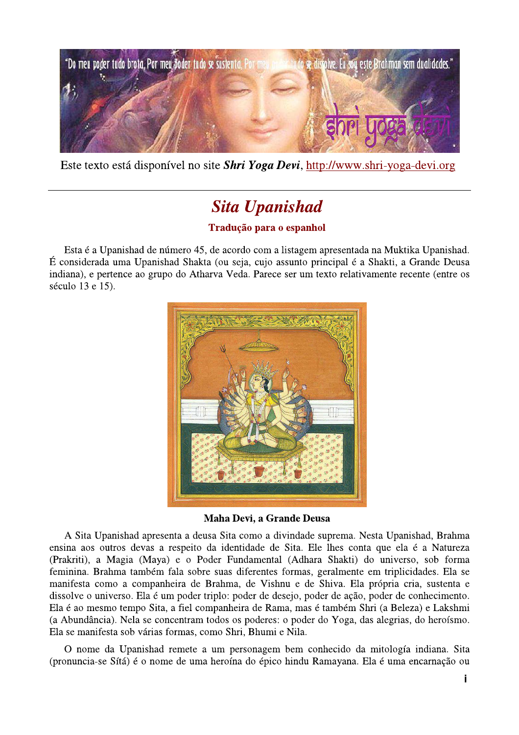

Este texto está disponível no site *Shri Yoga Devi*, http://www.shri-yoga-devi.org

## **Sita Upanishad**

## Tradução para o espanhol

Esta é a Upanishad de número 45, de acordo com a listagem apresentada na Muktika Upanishad. É considerada uma Upanishad Shakta (ou seja, cujo assunto principal é a Shakti, a Grande Deusa indiana), e pertence ao grupo do Atharva Veda. Parece ser um texto relativamente recente (entre os século 13 e 15).



Maha Devi, a Grande Deusa

A Sita Upanishad apresenta a deusa Sita como a divindade suprema. Nesta Upanishad, Brahma ensina aos outros devas a respeito da identidade de Sita. Ele lhes conta que ela é a Natureza (Prakriti), a Magia (Maya) e o Poder Fundamental (Adhara Shakti) do universo, sob forma feminina. Brahma também fala sobre suas diferentes formas, geralmente em triplicidades. Ela se manifesta como a companheira de Brahma, de Vishnu e de Shiva. Ela própria cria, sustenta e dissolve o universo. Ela é um poder triplo: poder de desejo, poder de ação, poder de conhecimento. Ela é ao mesmo tempo Sita, a fiel companheira de Rama, mas é também Shri (a Beleza) e Lakshmi (a Abundância). Nela se concentram todos os poderes: o poder do Yoga, das alegrias, do heroísmo. Ela se manifesta sob várias formas, como Shri, Bhumi e Nila.

O nome da Upanishad remete a um personagem bem conhecido da mitología indiana. Sita (pronuncia-se Sítá) é o nome de uma heroína do épico hindu Ramayana. Ela é uma encarnação ou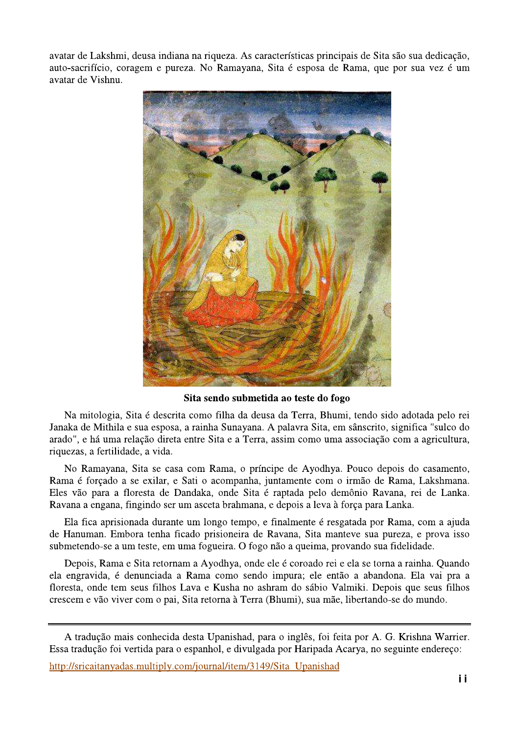avatar de Lakshmi, deusa indiana na riqueza. As características principais de Sita são sua dedicação, auto-sacrifício, coragem e pureza. No Ramayana, Sita é esposa de Rama, que por sua vez é um avatar de Vishnu.



Sita sendo submetida ao teste do fogo

Na mitologia, Sita é descrita como filha da deusa da Terra, Bhumi, tendo sido adotada pelo rei Janaka de Mithila e sua esposa, a rainha Sunayana. A palavra Sita, em sânscrito, significa "sulco do arado", e há uma relação direta entre Sita e a Terra, assim como uma associação com a agricultura, riquezas, a fertilidade, a vida.

No Ramayana, Sita se casa com Rama, o príncipe de Ayodhya. Pouco depois do casamento, Rama é forçado a se exilar, e Sati o acompanha, juntamente com o irmão de Rama, Lakshmana. Eles vão para a floresta de Dandaka, onde Sita é raptada pelo demônio Ravana, rei de Lanka. Ravana a engana, fingindo ser um asceta brahmana, e depois a leva à força para Lanka.

Ela fica aprisionada durante um longo tempo, e finalmente é resgatada por Rama, com a ajuda de Hanuman. Embora tenha ficado prisioneira de Ravana, Sita manteve sua pureza, e prova isso submetendo-se a um teste, em uma fogueira. O fogo não a queima, provando sua fidelidade.

Depois, Rama e Sita retornam a Ayodhya, onde ele é coroado rei e ela se torna a rainha. Quando ela engravida, é denunciada a Rama como sendo impura; ele então a abandona. Ela vai pra a floresta, onde tem seus filhos Lava e Kusha no ashram do sábio Valmiki. Depois que seus filhos crescem e vão viver com o pai, Sita retorna à Terra (Bhumi), sua mãe, libertando-se do mundo.

A tradução mais conhecida desta Upanishad, para o inglês, foi feita por A. G. Krishna Warrier. Essa tradução foi vertida para o espanhol, e divulgada por Haripada Acarya, no seguinte endereço:

http://sricaitanyadas.multiply.com/journal/item/3149/Sita Upanishad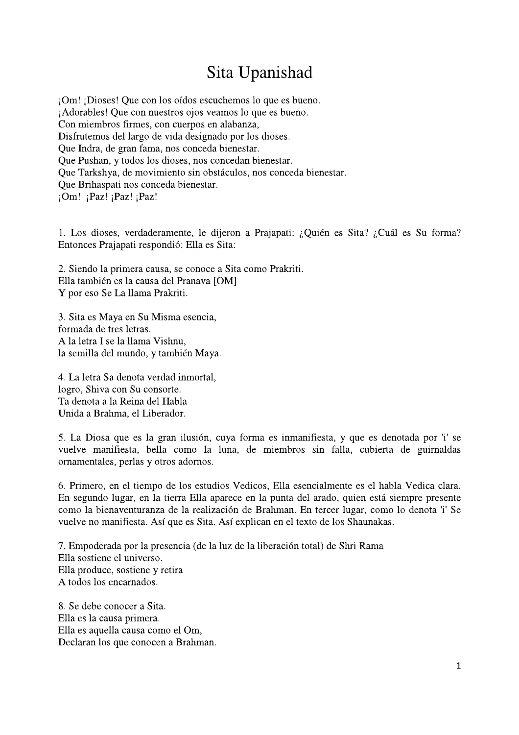## Sita Upanishad

¡Om! ¡Dioses! Que con los oídos escuchemos lo que es bueno. ¡Adorables! Que con nuestros ojos veamos lo que es bueno. Con miembros firmes, con cuerpos en alabanza, Disfrutemos del largo de vida designado por los dioses. Que Indra, de gran fama, nos conceda bienestar. Que Pushan, y todos los dioses, nos concedan bienestar. Que Tarkshya, de movimiento sin obstáculos, nos conceda bienestar. Que Brihaspati nos conceda bienestar.  $i$ Om!  $i$ Paz!  $i$ Paz!  $i$ Paz!

1. Los dioses, verdaderamente, le dijeron a Prajapati: ¿Quién es Sita? ¿Cuál es Su forma? Entonces Prajapati respondió: Ella es Sita:

2. Siendo la primera causa, se conoce a Sita como Prakriti. Ella también es la causa del Pranava [OM] Y por eso Se La llama Prakriti.

3. Sita es Maya en Su Misma esencia, formada de tres letras. A la letra I se la llama Vishnu. la semilla del mundo, y también Maya.

4. La letra Sa denota verdad inmortal, logro, Shiva con Su consorte. Ta denota a la Reina del Habla Unida a Brahma, el Liberador.

5. La Diosa que es la gran ilusión, cuya forma es inmanifiesta, y que es denotada por 'i' se vuelve manifiesta, bella como la luna, de miembros sin falla, cubierta de guirnaldas ornamentales, perlas y otros adornos.

6. Primero, en el tiempo de los estudios Vedicos, Ella esencialmente es el habla Vedica clara. En segundo lugar, en la tierra Ella aparece en la punta del arado, quien está siempre presente como la bienaventuranza de la realización de Brahman. En tercer lugar, como lo denota 'i' Se vuelve no manifiesta. Así que es Sita. Así explican en el texto de los Shaunakas.

7. Empoderada por la presencia (de la luz de la liberación total) de Shri Rama Ella sostiene el universo. Ella produce, sostiene y retira A todos los encarnados.

8. Se debe conocer a Sita. Ella es la causa primera. Ella es aquella causa como el Om, Declaran los que conocen a Brahman.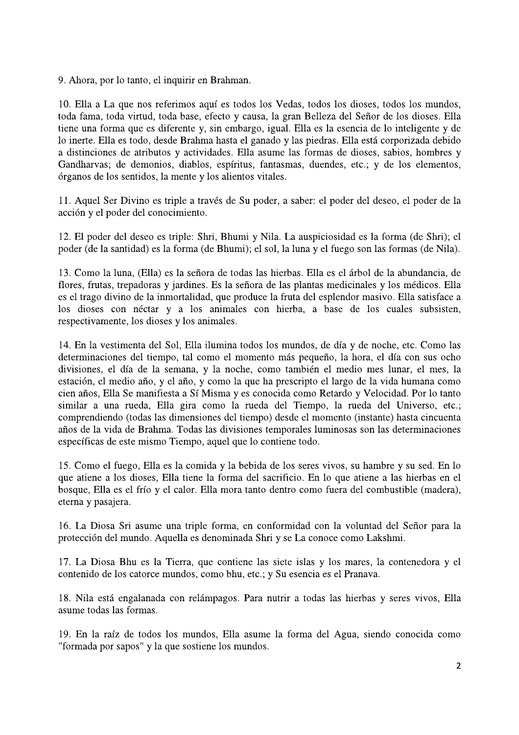9. Ahora, por lo tanto, el inquirir en Brahman.

10. Ella a La que nos referimos aquí es todos los Vedas, todos los dioses, todos los mundos, toda fama, toda virtud, toda base, efecto y causa, la gran Belleza del Señor de los dioses. Ella tiene una forma que es diferente y, sin embargo, igual. Ella es la esencia de lo inteligente y de lo inerte. Ella es todo, desde Brahma hasta el ganado y las piedras. Ella está corporizada debido a distinciones de atributos y actividades. Ella asume las formas de dioses, sabios, hombres y Gandharvas; de demonios, diablos, espíritus, fantasmas, duendes, etc.; y de los elementos, órganos de los sentidos, la mente y los alientos vitales.

11. Aquel Ser Divino es triple a través de Su poder, a saber: el poder del deseo, el poder de la acción y el poder del conocimiento.

12. El poder del deseo es triple: Shri, Bhumi y Nila. La auspiciosidad es la forma (de Shri); el poder (de la santidad) es la forma (de Bhumi); el sol, la luna y el fuego son las formas (de Nila).

13. Como la luna, (Ella) es la señora de todas las hierbas. Ella es el árbol de la abundancia, de flores, frutas, trepadoras y jardines. Es la señora de las plantas medicinales y los médicos. Ella es el trago divino de la inmortalidad, que produce la fruta del esplendor masivo. Ella satisface a los dioses con néctar y a los animales con hierba, a base de los cuales subsisten, respectivamente, los dioses y los animales.

14. En la vestimenta del Sol, Ella ilumina todos los mundos, de día y de noche, etc. Como las determinaciones del tiempo, tal como el momento más pequeño, la hora, el día con sus ocho divisiones, el día de la semana, y la noche, como también el medio mes lunar, el mes, la estación, el medio año, y el año, y como la que ha prescripto el largo de la vida humana como cien años, Ella Se manifiesta a Sí Misma y es conocida como Retardo y Velocidad. Por lo tanto similar a una rueda, Ella gira como la rueda del Tiempo, la rueda del Universo, etc.; comprendiendo (todas las dimensiones del tiempo) desde el momento (instante) hasta cincuenta años de la vida de Brahma. Todas las divisiones temporales luminosas son las determinaciones específicas de este mismo Tiempo, aquel que lo contiene todo.

15. Como el fuego, Ella es la comida y la bebida de los seres vivos, su hambre y su sed. En lo que atiene a los dioses, Ella tiene la forma del sacrificio. En lo que atiene a las hierbas en el bosque, Ella es el frío y el calor. Ella mora tanto dentro como fuera del combustible (madera), eterna y pasajera.

16. La Diosa Sri asume una triple forma, en conformidad con la voluntad del Señor para la protección del mundo. Aquella es denominada Shri y se La conoce como Lakshmi.

17. La Diosa Bhu es la Tierra, que contiene las siete islas y los mares, la contenedora y el contenido de los catorce mundos, como bhu, etc.; y Su esencia es el Pranava.

18. Nila está engalanada con relámpagos. Para nutrir a todas las hierbas y seres vivos, Ella asume todas las formas.

19. En la raíz de todos los mundos, Ella asume la forma del Agua, siendo conocida como "formada por sapos" y la que sostiene los mundos.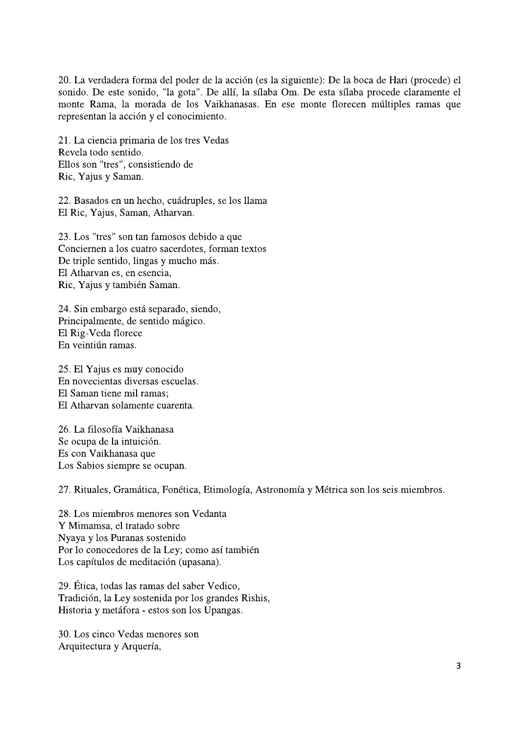20. La verdadera forma del poder de la acción (es la siguiente): De la boca de Hari (procede) el sonido. De este sonido, "la gota". De allí, la sílaba Om. De esta sílaba procede claramente el monte Rama, la morada de los Vaikhanasas. En ese monte florecen múltiples ramas que representan la acción y el conocimiento.

21. La ciencia primaria de los tres Vedas Revela todo sentido. Ellos son "tres", consistiendo de Ric, Yajus y Saman.

22. Basados en un hecho, cuádruples, se los llama El Ric, Yajus, Saman, Atharvan.

23. Los "tres" son tan famosos debido a que Conciernen a los cuatro sacerdotes, forman textos De triple sentido, lingas y mucho más. El Atharvan es, en esencia. Ric, Yajus y también Saman.

24. Sin embargo está separado, siendo, Principalmente, de sentido mágico. El Rig-Veda florece En veintiún ramas.

25. El Yajus es muy conocido En novecientas diversas escuelas. El Saman tiene mil ramas: El Atharvan solamente cuarenta.

26. La filosofía Vaikhanasa Se ocupa de la intuición. Es con Vaikhanasa que Los Sabios siempre se ocupan.

27. Rituales, Gramática, Fonética, Etimología, Astronomía y Métrica son los seis miembros.

28. Los miembros menores son Vedanta Y Mimamsa, el tratado sobre Nyaya y los Puranas sostenido Por lo conocedores de la Ley; como así también Los capítulos de meditación (upasana).

29. Ética, todas las ramas del saber Vedico, Tradición, la Ley sostenida por los grandes Rishis, Historia y metáfora - estos son los Upangas.

30. Los cinco Vedas menores son Arquitectura y Arquería,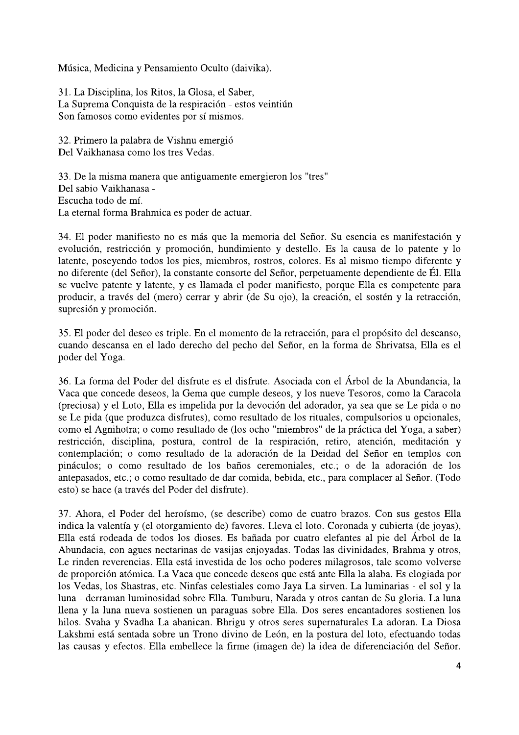Música, Medicina y Pensamiento Oculto (daivika).

31. La Disciplina, los Ritos, la Glosa, el Saber, La Suprema Conquista de la respiración - estos veintiún Son famosos como evidentes por sí mismos.

32. Primero la palabra de Vishnu emergió Del Vaikhanasa como los tres Vedas.

33. De la misma manera que antiguamente emergieron los "tres" Del sabio Vaikhanasa -Escucha todo de mí. La eternal forma Brahmica es poder de actuar.

34. El poder manifiesto no es más que la memoria del Señor. Su esencia es manifestación y evolución, restricción y promoción, hundimiento y destello. Es la causa de lo patente y lo latente, poseyendo todos los pies, miembros, rostros, colores. Es al mismo tiempo diferente y no diferente (del Señor), la constante consorte del Señor, perpetuamente dependiente de Él. Ella se vuelve patente y latente, y es llamada el poder manifiesto, porque Ella es competente para producir, a través del (mero) cerrar y abrir (de Su ojo), la creación, el sostén y la retracción, supresión y promoción.

35. El poder del deseo es triple. En el momento de la retracción, para el propósito del descanso, cuando descansa en el lado derecho del pecho del Señor, en la forma de Shrivatsa, Ella es el poder del Yoga.

36. La forma del Poder del disfrute es el disfrute. Asociada con el Árbol de la Abundancia, la Vaca que concede deseos, la Gema que cumple deseos, y los nueve Tesoros, como la Caracola (preciosa) y el Loto, Ella es impelida por la devoción del adorador, ya sea que se Le pida o no se Le pida (que produzca disfrutes), como resultado de los rituales, compulsorios u opcionales, como el Agnihotra; o como resultado de (los ocho "miembros" de la práctica del Yoga, a saber) restricción, disciplina, postura, control de la respiración, retiro, atención, meditación y contemplación; o como resultado de la adoración de la Deidad del Señor en templos con pináculos; o como resultado de los baños ceremoniales, etc.; o de la adoración de los antepasados, etc.; o como resultado de dar comida, bebida, etc., para complacer al Señor. (Todo esto) se hace (a través del Poder del disfrute).

37. Ahora, el Poder del heroísmo, (se describe) como de cuatro brazos. Con sus gestos Ella indica la valentía y (el otorgamiento de) favores. Lleva el loto. Coronada y cubierta (de joyas), Ella está rodeada de todos los dioses. Es bañada por cuatro elefantes al pie del Árbol de la Abundacia, con agues nectarinas de vasijas enjoyadas. Todas las divinidades, Brahma y otros, Le rinden reverencias. Ella está investida de los ocho poderes milagrosos, tale scomo volverse de proporción atómica. La Vaca que concede deseos que está ante Ella la alaba. Es elogiada por los Vedas, los Shastras, etc. Ninfas celestiales como Jaya La sirven. La luminarias - el sol y la luna - derraman luminosidad sobre Ella. Tumburu, Narada y otros cantan de Su gloria. La luna llena y la luna nueva sostienen un paraguas sobre Ella. Dos seres encantadores sostienen los hilos. Svaha y Svadha La abanican. Bhrigu y otros seres supernaturales La adoran. La Diosa Lakshmi está sentada sobre un Trono divino de León, en la postura del loto, efectuando todas las causas y efectos. Ella embellece la firme (imagen de) la idea de diferenciación del Señor.